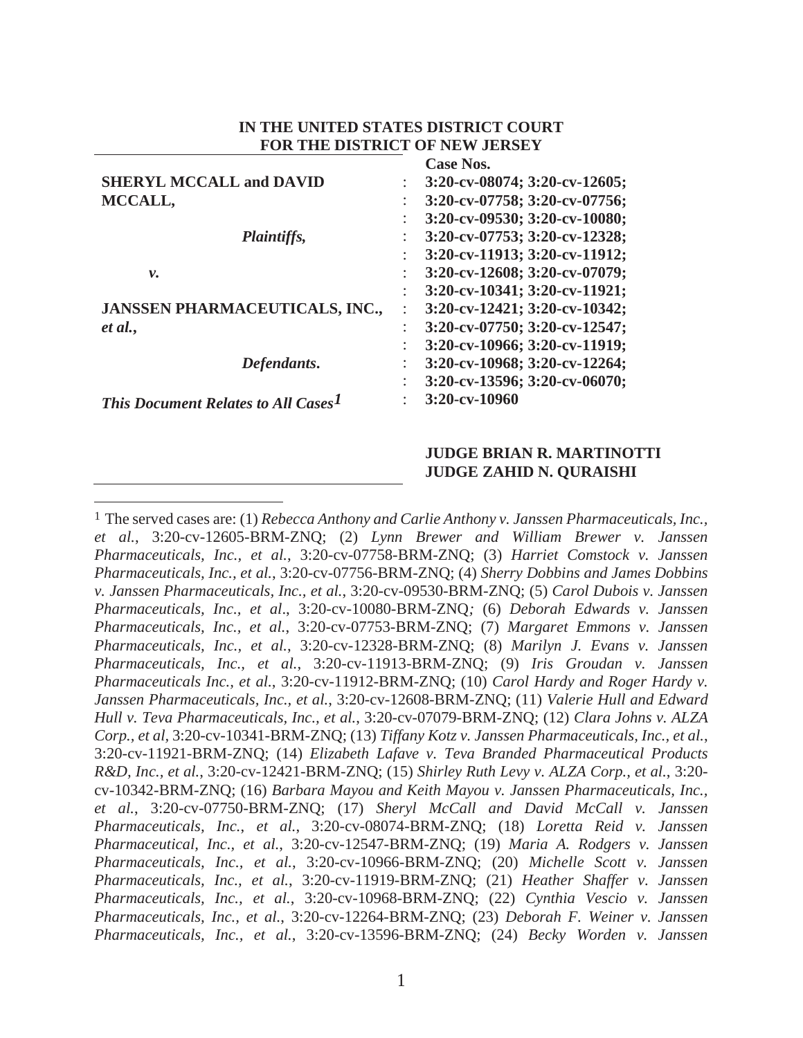|                                                 | <b>Case Nos.</b>                    |
|-------------------------------------------------|-------------------------------------|
| <b>SHERYL MCCALL and DAVID</b>                  | $3:20$ -cv-08074; $3:20$ -cv-12605; |
| MCCALL,                                         | 3:20-cv-07758; 3:20-cv-07756;       |
|                                                 | 3:20-cv-09530; 3:20-cv-10080;       |
| Plaintiffs,                                     | 3:20-cv-07753; 3:20-cv-12328;       |
|                                                 | 3:20-cv-11913; 3:20-cv-11912;       |
| ν.                                              | 3:20-cv-12608; 3:20-cv-07079;       |
|                                                 | 3:20-cv-10341; 3:20-cv-11921;       |
| JANSSEN PHARMACEUTICALS, INC.,                  | 3:20-cv-12421; 3:20-cv-10342;       |
| et al.,                                         | 3:20-cv-07750; 3:20-cv-12547;       |
|                                                 | 3:20-cv-10966; 3:20-cv-11919;       |
| Defendants.                                     | $3:20$ -cv-10968; 3:20-cv-12264;    |
|                                                 | 3:20-cv-13596; 3:20-cv-06070;       |
| This Document Relates to All Cases <sup>1</sup> | 3:20-cv-10960                       |

### **IN THE UNITED STATES DISTRICT COURT FOR THE DISTRICT OF NEW JERSEY**

### **JUDGE BRIAN R. MARTINOTTI JUDGE ZAHID N. QURAISHI**

1 The served cases are: (1) *Rebecca Anthony and Carlie Anthony v. Janssen Pharmaceuticals, Inc., et al.*, 3:20-cv-12605-BRM-ZNQ; (2) *Lynn Brewer and William Brewer v. Janssen Pharmaceuticals, Inc., et al.*, 3:20-cv-07758-BRM-ZNQ; (3) *Harriet Comstock v. Janssen Pharmaceuticals, Inc., et al.*, 3:20-cv-07756-BRM-ZNQ; (4) *Sherry Dobbins and James Dobbins v. Janssen Pharmaceuticals, Inc., et al.*, 3:20-cv-09530-BRM-ZNQ; (5) *Carol Dubois v. Janssen Pharmaceuticals, Inc., et al*., 3:20-cv-10080-BRM-ZNQ*;* (6) *Deborah Edwards v. Janssen Pharmaceuticals, Inc., et al.*, 3:20-cv-07753-BRM-ZNQ; (7) *Margaret Emmons v. Janssen Pharmaceuticals, Inc., et al.*, 3:20-cv-12328-BRM-ZNQ; (8) *Marilyn J. Evans v. Janssen Pharmaceuticals, Inc., et al.*, 3:20-cv-11913-BRM-ZNQ; (9) *Iris Groudan v. Janssen Pharmaceuticals Inc., et al.*, 3:20-cv-11912-BRM-ZNQ; (10) *Carol Hardy and Roger Hardy v. Janssen Pharmaceuticals, Inc., et al.*, 3:20-cv-12608-BRM-ZNQ; (11) *Valerie Hull and Edward Hull v. Teva Pharmaceuticals, Inc., et al.*, 3:20-cv-07079-BRM-ZNQ; (12) *Clara Johns v. ALZA Corp., et al,* 3:20-cv-10341-BRM-ZNQ; (13) *Tiffany Kotz v. Janssen Pharmaceuticals, Inc., et al.*, 3:20-cv-11921-BRM-ZNQ; (14) *Elizabeth Lafave v. Teva Branded Pharmaceutical Products R&D, Inc., et al.*, 3:20-cv-12421-BRM-ZNQ; (15) *Shirley Ruth Levy v. ALZA Corp., et al.*, 3:20 cv-10342-BRM-ZNQ; (16) *Barbara Mayou and Keith Mayou v. Janssen Pharmaceuticals, Inc., et al.*, 3:20-cv-07750-BRM-ZNQ; (17) *Sheryl McCall and David McCall v. Janssen Pharmaceuticals, Inc.*, *et al.*, 3:20-cv-08074-BRM-ZNQ; (18) *Loretta Reid v. Janssen Pharmaceutical, Inc., et al.*, 3:20-cv-12547-BRM-ZNQ; (19) *Maria A. Rodgers v. Janssen Pharmaceuticals, Inc., et al.*, 3:20-cv-10966-BRM-ZNQ; (20) *Michelle Scott v. Janssen Pharmaceuticals, Inc., et al.*, 3:20-cv-11919-BRM-ZNQ; (21) *Heather Shaffer v. Janssen Pharmaceuticals, Inc., et al.*, 3:20-cv-10968-BRM-ZNQ; (22) *Cynthia Vescio v. Janssen Pharmaceuticals, Inc., et al.*, 3:20-cv-12264-BRM-ZNQ; (23) *Deborah F. Weiner v. Janssen Pharmaceuticals, Inc., et al.*, 3:20-cv-13596-BRM-ZNQ; (24) *Becky Worden v. Janssen*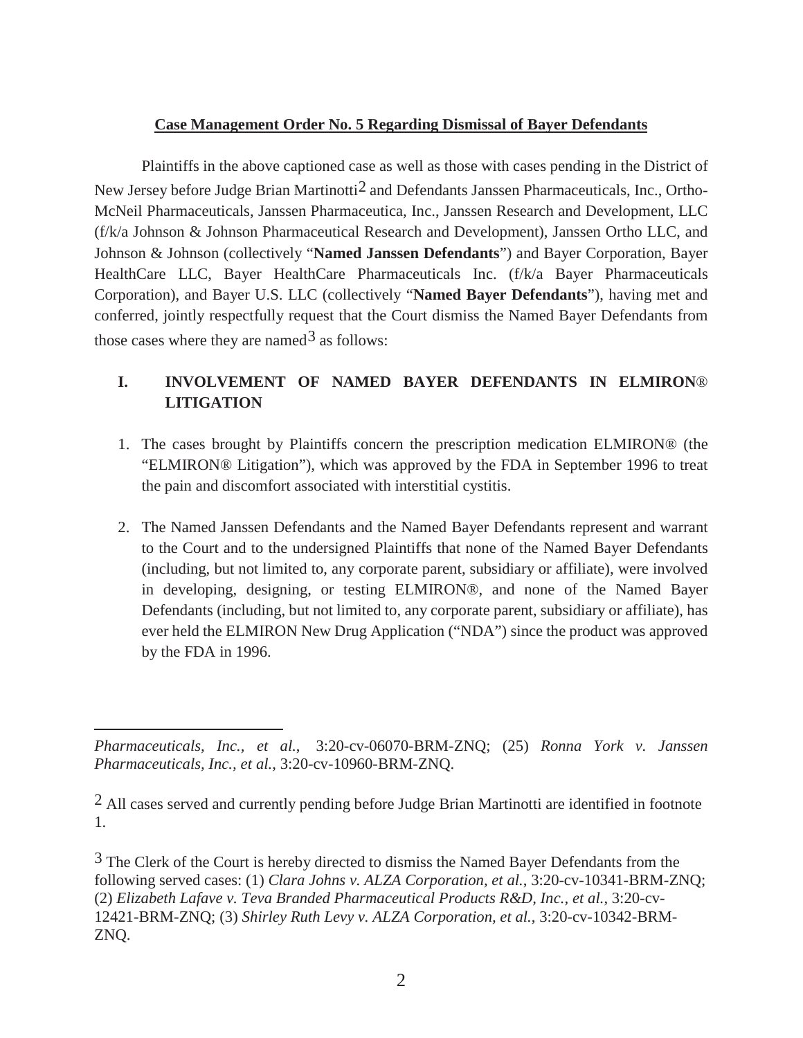## **Case Management Order No. 5 Regarding Dismissal of Bayer Defendants**

Plaintiffs in the above captioned case as well as those with cases pending in the District of New Jersey before Judge Brian Martinotti2 and Defendants Janssen Pharmaceuticals, Inc., Ortho-McNeil Pharmaceuticals, Janssen Pharmaceutica, Inc., Janssen Research and Development, LLC (f/k/a Johnson & Johnson Pharmaceutical Research and Development), Janssen Ortho LLC, and Johnson & Johnson (collectively "**Named Janssen Defendants**") and Bayer Corporation, Bayer HealthCare LLC, Bayer HealthCare Pharmaceuticals Inc. (f/k/a Bayer Pharmaceuticals Corporation), and Bayer U.S. LLC (collectively "**Named Bayer Defendants**"), having met and conferred, jointly respectfully request that the Court dismiss the Named Bayer Defendants from those cases where they are named  $3$  as follows:

# **I. INVOLVEMENT OF NAMED BAYER DEFENDANTS IN ELMIRON**® **LITIGATION**

- 1. The cases brought by Plaintiffs concern the prescription medication ELMIRON® (the "ELMIRON® Litigation"), which was approved by the FDA in September 1996 to treat the pain and discomfort associated with interstitial cystitis.
- 2. The Named Janssen Defendants and the Named Bayer Defendants represent and warrant to the Court and to the undersigned Plaintiffs that none of the Named Bayer Defendants (including, but not limited to, any corporate parent, subsidiary or affiliate), were involved in developing, designing, or testing ELMIRON®, and none of the Named Bayer Defendants (including, but not limited to, any corporate parent, subsidiary or affiliate), has ever held the ELMIRON New Drug Application ("NDA") since the product was approved by the FDA in 1996.

*Pharmaceuticals, Inc., et al.*, 3:20-cv-06070-BRM-ZNQ; (25) *Ronna York v. Janssen Pharmaceuticals, Inc., et al.*, 3:20-cv-10960-BRM-ZNQ.

<sup>2</sup> All cases served and currently pending before Judge Brian Martinotti are identified in footnote 1.

<sup>&</sup>lt;sup>3</sup> The Clerk of the Court is hereby directed to dismiss the Named Bayer Defendants from the following served cases: (1) *Clara Johns v. ALZA Corporation, et al.*, 3:20-cv-10341-BRM-ZNQ; (2) *Elizabeth Lafave v. Teva Branded Pharmaceutical Products R&D, Inc., et al.*, 3:20-cv-12421-BRM-ZNQ; (3) *Shirley Ruth Levy v. ALZA Corporation, et al.*, 3:20-cv-10342-BRM-ZNQ.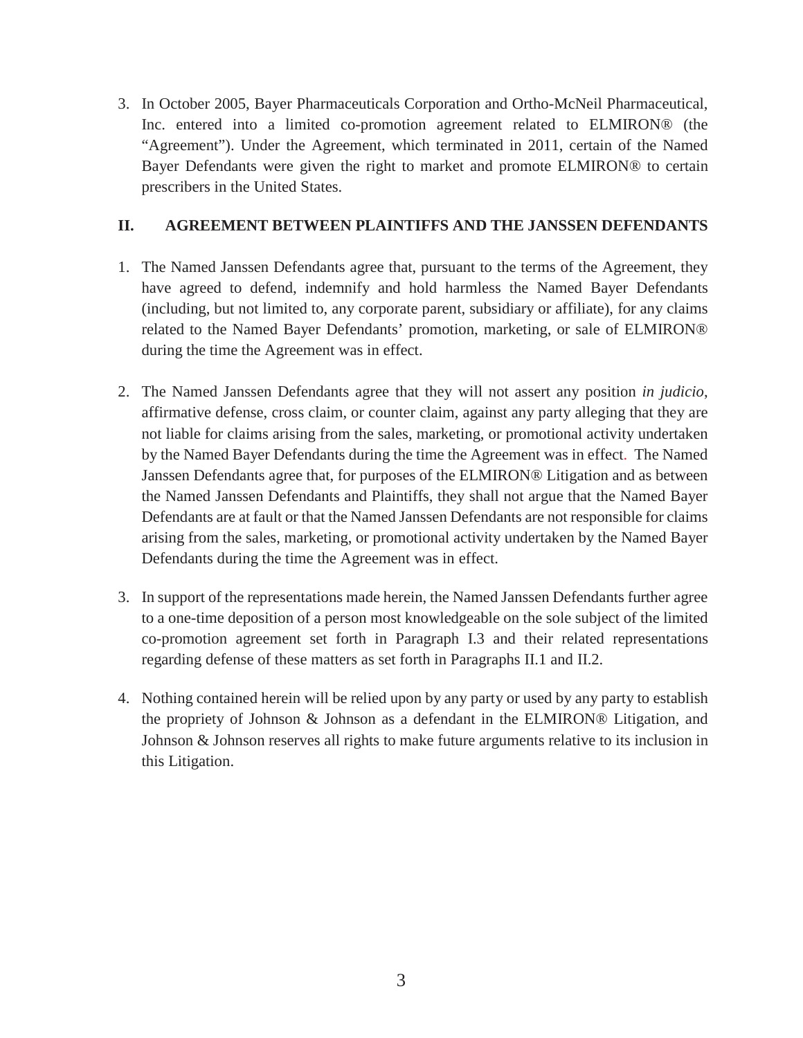3. In October 2005, Bayer Pharmaceuticals Corporation and Ortho-McNeil Pharmaceutical, Inc. entered into a limited co-promotion agreement related to ELMIRON® (the "Agreement"). Under the Agreement, which terminated in 2011, certain of the Named Bayer Defendants were given the right to market and promote ELMIRON® to certain prescribers in the United States.

## **II. AGREEMENT BETWEEN PLAINTIFFS AND THE JANSSEN DEFENDANTS**

- 1. The Named Janssen Defendants agree that, pursuant to the terms of the Agreement, they have agreed to defend, indemnify and hold harmless the Named Bayer Defendants (including, but not limited to, any corporate parent, subsidiary or affiliate), for any claims related to the Named Bayer Defendants' promotion, marketing, or sale of ELMIRON® during the time the Agreement was in effect.
- 2. The Named Janssen Defendants agree that they will not assert any position *in judicio*, affirmative defense, cross claim, or counter claim, against any party alleging that they are not liable for claims arising from the sales, marketing, or promotional activity undertaken by the Named Bayer Defendants during the time the Agreement was in effect. The Named Janssen Defendants agree that, for purposes of the ELMIRON® Litigation and as between the Named Janssen Defendants and Plaintiffs, they shall not argue that the Named Bayer Defendants are at fault or that the Named Janssen Defendants are not responsible for claims arising from the sales, marketing, or promotional activity undertaken by the Named Bayer Defendants during the time the Agreement was in effect.
- 3. In support of the representations made herein, the Named Janssen Defendants further agree to a one-time deposition of a person most knowledgeable on the sole subject of the limited co-promotion agreement set forth in Paragraph I.3 and their related representations regarding defense of these matters as set forth in Paragraphs II.1 and II.2.
- 4. Nothing contained herein will be relied upon by any party or used by any party to establish the propriety of Johnson & Johnson as a defendant in the ELMIRON® Litigation, and Johnson & Johnson reserves all rights to make future arguments relative to its inclusion in this Litigation.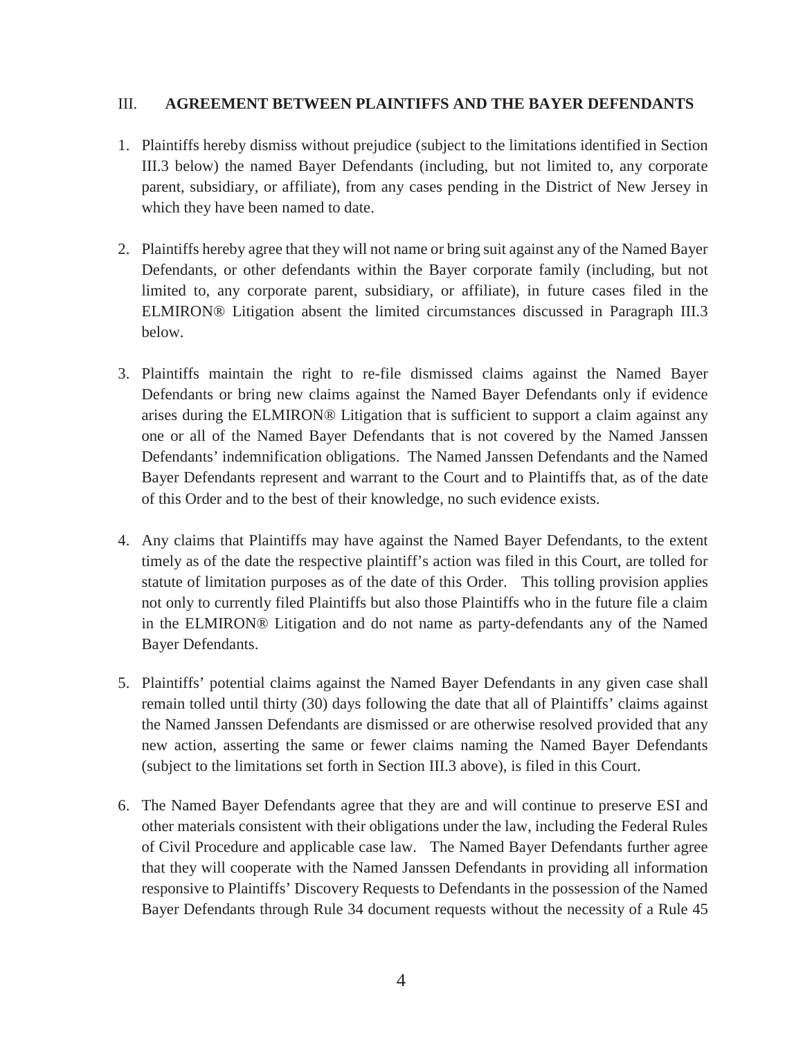### III. **AGREEMENT BETWEEN PLAINTIFFS AND THE BAYER DEFENDANTS**

- 1. Plaintiffs hereby dismiss without prejudice (subject to the limitations identified in Section III.3 below) the named Bayer Defendants (including, but not limited to, any corporate parent, subsidiary, or affiliate), from any cases pending in the District of New Jersey in which they have been named to date.
- 2. Plaintiffs hereby agree that they will not name or bring suit against any of the Named Bayer Defendants, or other defendants within the Bayer corporate family (including, but not limited to, any corporate parent, subsidiary, or affiliate), in future cases filed in the ELMIRON® Litigation absent the limited circumstances discussed in Paragraph III.3 below.
- 3. Plaintiffs maintain the right to re-file dismissed claims against the Named Bayer Defendants or bring new claims against the Named Bayer Defendants only if evidence arises during the ELMIRON® Litigation that is sufficient to support a claim against any one or all of the Named Bayer Defendants that is not covered by the Named Janssen Defendants' indemnification obligations. The Named Janssen Defendants and the Named Bayer Defendants represent and warrant to the Court and to Plaintiffs that, as of the date of this Order and to the best of their knowledge, no such evidence exists.
- 4. Any claims that Plaintiffs may have against the Named Bayer Defendants, to the extent timely as of the date the respective plaintiff's action was filed in this Court, are tolled for statute of limitation purposes as of the date of this Order. This tolling provision applies not only to currently filed Plaintiffs but also those Plaintiffs who in the future file a claim in the ELMIRON® Litigation and do not name as party-defendants any of the Named Bayer Defendants.
- 5. Plaintiffs' potential claims against the Named Bayer Defendants in any given case shall remain tolled until thirty (30) days following the date that all of Plaintiffs' claims against the Named Janssen Defendants are dismissed or are otherwise resolved provided that any new action, asserting the same or fewer claims naming the Named Bayer Defendants (subject to the limitations set forth in Section III.3 above), is filed in this Court.
- 6. The Named Bayer Defendants agree that they are and will continue to preserve ESI and other materials consistent with their obligations under the law, including the Federal Rules of Civil Procedure and applicable case law. The Named Bayer Defendants further agree that they will cooperate with the Named Janssen Defendants in providing all information responsive to Plaintiffs' Discovery Requests to Defendants in the possession of the Named Bayer Defendants through Rule 34 document requests without the necessity of a Rule 45